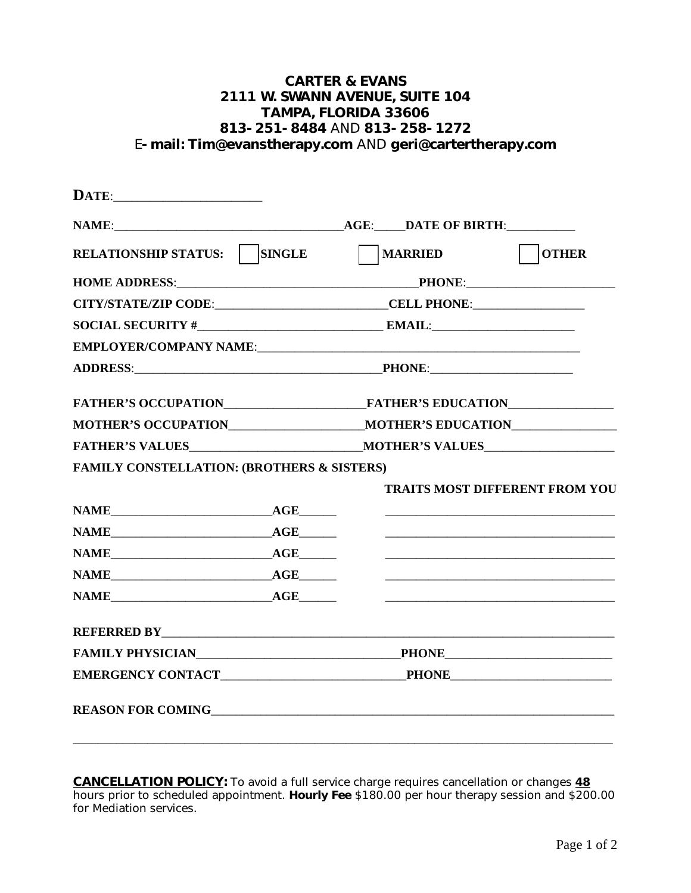## **CARTER & EVANS 2111 W. SWANN AVENUE, SUITE 104 TAMPA, FLORIDA 33606 813-251-8484** AND **813-258-1272** E**-mail: Tim@evanstherapy.com** AND **geri@cartertherapy.com**

| RELATIONSHIP STATUS:   SINGLE                         |  | MARRIED                                                                                                                                                                                                                                                                                                | <b>OTHER</b>                                                         |  |
|-------------------------------------------------------|--|--------------------------------------------------------------------------------------------------------------------------------------------------------------------------------------------------------------------------------------------------------------------------------------------------------|----------------------------------------------------------------------|--|
|                                                       |  |                                                                                                                                                                                                                                                                                                        |                                                                      |  |
|                                                       |  | CITY/STATE/ZIP CODE:____________________________CELL PHONE:_____________________                                                                                                                                                                                                                       |                                                                      |  |
|                                                       |  | $SOCIAL SECURITY # EXAMPLE 2 EMAL: EXAMPLE 3 EMAL: EXAMPLE 4 EVALU: EXAMPLE 5 EVALU: EXAMPLE 6 EVALU: EXAMPLE 7 EVALU: EXAMPLE 7 EVALU: EXAMPLE 8 EVALU: EXAMPLE 8 EVALU: EXAMPLE 9 EVALU: EXAMPLE 10 EVALU: EXAMPLE 11 EVALU: EXAMPLE 12 EVALU: EXAMPLE 13 EVALU: EXAMPLE 14 EVALU: EXAMPLE 15 EVALU$ |                                                                      |  |
|                                                       |  |                                                                                                                                                                                                                                                                                                        |                                                                      |  |
|                                                       |  |                                                                                                                                                                                                                                                                                                        |                                                                      |  |
|                                                       |  |                                                                                                                                                                                                                                                                                                        |                                                                      |  |
|                                                       |  | MOTHER'S OCCUPATIONNA MOTHER'S EDUCATION                                                                                                                                                                                                                                                               |                                                                      |  |
|                                                       |  |                                                                                                                                                                                                                                                                                                        |                                                                      |  |
| <b>FAMILY CONSTELLATION: (BROTHERS &amp; SISTERS)</b> |  |                                                                                                                                                                                                                                                                                                        |                                                                      |  |
|                                                       |  |                                                                                                                                                                                                                                                                                                        | <b>TRAITS MOST DIFFERENT FROM YOU</b>                                |  |
|                                                       |  |                                                                                                                                                                                                                                                                                                        |                                                                      |  |
|                                                       |  |                                                                                                                                                                                                                                                                                                        |                                                                      |  |
|                                                       |  |                                                                                                                                                                                                                                                                                                        | <u> 2000 - Jan James James Barnett, amerikansk politik (d. 1888)</u> |  |
|                                                       |  |                                                                                                                                                                                                                                                                                                        |                                                                      |  |
| NAME AGE                                              |  |                                                                                                                                                                                                                                                                                                        |                                                                      |  |
|                                                       |  |                                                                                                                                                                                                                                                                                                        |                                                                      |  |
|                                                       |  |                                                                                                                                                                                                                                                                                                        |                                                                      |  |
|                                                       |  |                                                                                                                                                                                                                                                                                                        |                                                                      |  |
|                                                       |  |                                                                                                                                                                                                                                                                                                        |                                                                      |  |
|                                                       |  |                                                                                                                                                                                                                                                                                                        |                                                                      |  |

**CANCELLATION POLICY:** To avoid a full service charge requires cancellation or changes **48** hours prior to scheduled appointment. **Hourly Fee** \$180.00 per hour therapy session and \$200.00 for Mediation services.